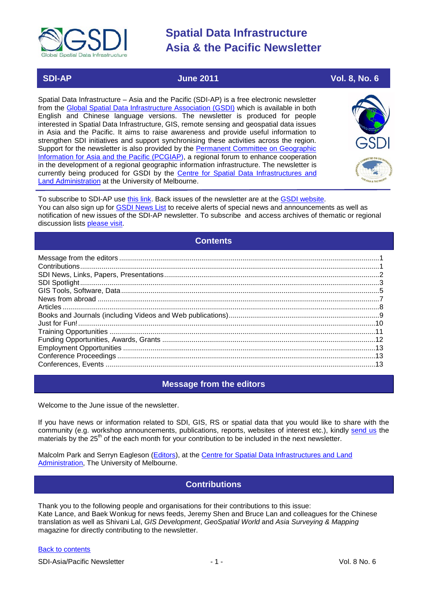

# **SDI-AP June 2011 Vol. 8, No. 6**

Spatial Data Infrastructure – Asia and the Pacific (SDI-AP) is a free electronic newsletter from the [Global Spatial Data Infrastructure Association \(GSDI\)](http://www.gsdi.org/) which is available in both English and Chinese language versions. The newsletter is produced for people interested in Spatial Data Infrastructure, GIS, remote sensing and geospatial data issues in Asia and the Pacific. It aims to raise awareness and provide useful information to strengthen SDI initiatives and support synchronising these activities across the region. Support for the newsletter is also provided by the Permanent Committee on Geographic [Information for Asia and the Pacific \(PCGIAP\)](http://www.pcgiap.org/), a regional forum to enhance cooperation in the development of a regional geographic information infrastructure. The newsletter is currently being produced for GSDI by the [Centre for Spatial Data Infrastructures and](http://www.csdila.unimelb.edu.au/)  [Land Administration](http://www.csdila.unimelb.edu.au/) at the University of Melbourne.



To subscribe to SDI-AP use [this link.](http://www.gsdi.org/newslist/gsdisubscribe.asp) Back issues of the newsletter are at the [GSDI website.](http://www.gsdi.org/newsletters.asp) You can also sign up for **GSDI News List** to receive alerts of special news and announcements as well as notification of new issues of the SDI-AP newsletter. To subscribe and access archives of thematic or regional discussion lists [please visit.](http://www.gsdi.org/discussionlists.asp)

# **Contents**

<span id="page-0-0"></span>

# **Message from the editors**

<span id="page-0-1"></span>Welcome to the June issue of the newsletter.

If you have news or information related to SDI, GIS, RS or spatial data that you would like to share with the community (e.g. workshop announcements, publications, reports, websites of interest etc.), kindly [send us](mailto:.SDI-AP@gsdi.org) the materials by the 25<sup>th</sup> of the each month for your contribution to be included in the next newsletter.

<span id="page-0-2"></span>Malcolm Park and Serryn Eagleson [\(Editors\)](mailto:Editor.SDIAP@gmail.com), at the [Centre for Spatial Data Infrastructures and Land](http://www.csdila.unimelb.edu.au/)  [Administration,](http://www.csdila.unimelb.edu.au/) The University of Melbourne.

# **Contributions**

Thank you to the following people and organisations for their contributions to this issue: Kate Lance, and Baek Wonkug for news feeds, Jeremy Shen and Bruce Lan and colleagues for the Chinese translation as well as Shivani Lal, *GIS Development*, *GeoSpatial World* and *Asia Surveying & Mapping* magazine for directly contributing to the newsletter.

### [Back to contents](#page-0-0)

SDI-Asia/Pacific Newsletter  $\sim$  1 - 2001 - 1 - Vol. 8 No. 6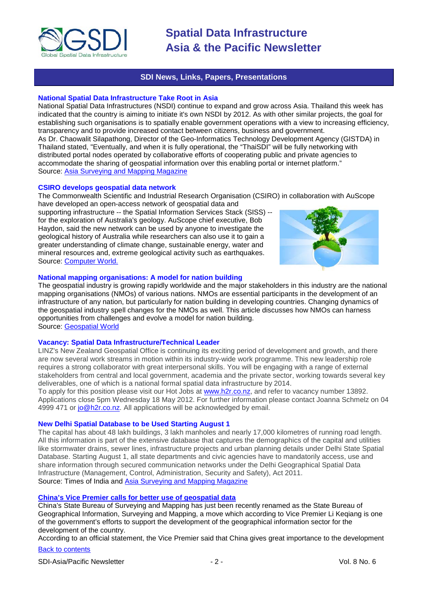

## **SDI News, Links, Papers, Presentations**

### <span id="page-1-0"></span>**National Spatial Data Infrastructure Take Root in Asia**

National Spatial Data Infrastructures (NSDI) continue to expand and grow across Asia. Thailand this week has indicated that the country is aiming to initiate it's own NSDI by 2012. As with other similar projects, the goal for establishing such organisations is to spatially enable government operations with a view to increasing efficiency, transparency and to provide increased contact between citizens, business and government. As Dr. Chaowalit Silapathong, Director of the Geo-Informatics Technology Development Agency (GISTDA) in Thailand [stated,](http://www.unpan.org/PublicAdministrationNews/tabid/115/mctl/ArticleView/ModuleID/1467/articleId/25883/Default.aspx) "Eventually, and when it is fully operational, the "ThaiSDI" will be fully networking with distributed portal nodes operated by collaborative efforts of cooperating public and private agencies to accommodate the sharing of geospatial information over this enabling portal or internet platform." Source: [Asia Surveying and Mapping Magazine](http://www.asmmag.com/features/feature/national-spatial-data-infrastructure-take-root-in-asia-28041208)

#### **CSIRO develops geospatial data network**

The Commonwealth Scientific and Industrial Research Organisation (CSIRO) in collaboration with AuScope have developed an open-access network of geospatial data and

supporting infrastructure -- the Spatial Information Services Stack (SISS) - for the exploration of Australia's geology. AuScope chief executive, Bob Haydon, said the new network can be used by anyone to investigate the geological history of Australia while researchers can also use it to gain a greater understanding of climate change, sustainable energy, water and mineral resources and, extreme geological activity such as earthquakes. Source: [Computer World.](http://www.computerworld.com.au/article/384961/csiro_develops_geospatial_data_network/)



## **National mapping organisations: A model for nation building**

The geospatial industry is growing rapidly worldwide and the major stakeholders in this industry are the national mapping organisations (NMOs) of various nations. NMOs are essential participants in the development of an infrastructure of any nation, but particularly for nation building in developing countries. Changing dynamics of the geospatial industry spell changes for the NMOs as well. This article discusses how NMOs can harness opportunities from challenges and evolve a model for nation building. Source: [Geospatial World](http://www.geospatialworld.net/index.php?option=com_content&view=article&id=22263)

#### **Vacancy: Spatial Data Infrastructure/Technical Leader**

LINZ's New Zealand Geospatial Office is continuing its exciting period of development and growth, and there are now several work streams in motion within its industry-wide work programme. This new leadership role requires a strong collaborator with great interpersonal skills. You will be engaging with a range of external stakeholders from central and local government, academia and the private sector, working towards several key deliverables, one of which is a national formal spatial data infrastructure by 2014.

To apply for this position please visit our Hot Jobs at [www.h2r.co.nz,](http://www.geospatial.govt.nz/www.h2r.co.nz) and refer to vacancy number 13892. Applications close 5pm Wednesday 18 May 2012. For further information please contact Joanna Schmelz on 04 4999 471 or [jo@h2r.co.nz.](mailto:jo@h2r.co.nz) All applications will be acknowledged by email.

#### **New Delhi Spatial Database to be Used Starting August 1**

The capital has about 48 lakh buildings, 3 lakh manholes and nearly 17,000 kilometres of running road length. All this information is part of the extensive database that captures the demographics of the capital and utilities like stormwater drains, sewer lines, infrastructure projects and urban planning details under Delhi State Spatial Database. Starting August 1, all state departments and civic agencies have to mandatorily access, use and share information through secured communication networks under the Delhi Geographical Spatial Data Infrastructure (Management, Control, Administration, Security and Safety), Act 2011. Source: Times of India and [Asia Surveying and Mapping Magazine](http://www.asmmag.com/news/headlines/new-delhi-spatial-database-to-be-used-starting-august-1-29051434)

### **[China's Vice Premier calls for better use of geospatial data](http://www.futuregov.asia/articles/2011/may/27/chinas-vice-premiere-calls-better-use-geospatial-d/)**

China's State Bureau of Surveying and Mapping has just been recently renamed as the State Bureau of Geographical Information, Surveying and Mapping, a move which according to Vice Premier Li Keqiang is one of the government's efforts to support the development of the geographical information sector for the development of the country.

According to an official statement, the Vice Premier said that China gives great importance to the development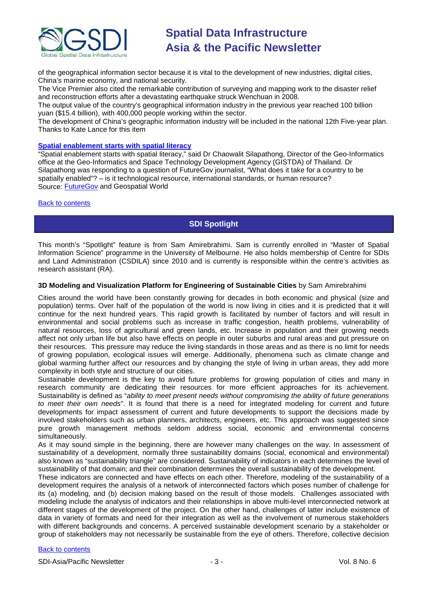

of the geographical information sector because it is vital to the development of new industries, digital cities, China's marine economy, and national security.

The Vice Premier also cited the remarkable contribution of surveying and mapping work to the disaster relief and reconstruction efforts after a devastating earthquake struck Wenchuan in 2008.

The output value of the country's geographical information industry in the previous year reached 100 billion yuan (\$15.4 billion), with 400,000 people working within the sector.

The development of China's geographic information industry will be included in the national 12th Five-year plan. Thanks to Kate Lance for this item

## **[Spatial enablement starts with spatial literacy](http://www.geospatialworld.net/index.php?option=com_content&view=article&id=22284%3Aspatial-enablement-starts-with-spatial-literacy&catid=66%3Aapplication-miscellaneous&Itemid=1)**

"Spatial enablement starts with spatial literacy," said Dr Chaowalit Silapathong, Director of the Geo-Informatics office at the Geo-Informatics and Space Technology Development Agency (GISTDA) of Thailand. Dr Silapathong was responding to a question of FutureGov journalist, "What does it take for a country to be spatially enabled"? – is it technological resource, international standards, or human resource? Source: [FutureGov](http://www.futuregov.asia/blog/2011/may/25/what-does-it-take-be-spatially-enabled/) and Geospatial World

#### <span id="page-2-0"></span>[Back to contents](#page-0-0)

## **SDI Spotlight**

This month's "Spotlight" feature is from Sam Amirebrahimi. Sam is currently enrolled in "Master of Spatial Information Science" programme in the University of Melbourne. He also holds membership of Centre for SDIs and Land Administration (CSDILA) since 2010 and is currently is responsible within the centre's activities as research assistant (RA).

### **3D Modeling and Visualization Platform for Engineering of Sustainable Cities** by Sam Amirebrahimi

Cities around the world have been constantly growing for decades in both economic and physical (size and population) terms. Over half of the population of the world is now living in cities and it is predicted that it will continue for the next hundred years. This rapid growth is facilitated by number of factors and will result in environmental and social problems such as increase in traffic congestion, health problems, vulnerability of natural resources, loss of agricultural and green lands, etc. Increase in population and their growing needs affect not only urban life but also have effects on people in outer suburbs and rural areas and put pressure on their resources. This pressure may reduce the living standards in those areas and as there is no limit for needs of growing population, ecological issues will emerge. Additionally, phenomena such as climate change and global warming further affect our resources and by changing the style of living in urban areas, they add more complexity in both style and structure of our cities.

Sustainable development is the key to avoid future problems for growing population of cities and many in research community are dedicating their resources for more efficient approaches for its achievement. Sustainability is defined as "*ability to meet present needs without compromising the ability of future generations to meet their own needs*". It is found that there is a need for integrated modeling for current and future developments for impact assessment of current and future developments to support the decisions made by involved stakeholders such as urban planners, architects, engineers, etc. This approach was suggested since pure growth management methods seldom address social, economic and environmental concerns simultaneously.

As it may sound simple in the beginning, there are however many challenges on the way. In assessment of sustainability of a development, normally three sustainability domains (social, economical and environmental) also known as "sustainability triangle" are considered. Sustainability of indicators in each determines the level of sustainability of that domain; and their combination determines the overall sustainability of the development.

These indicators are connected and have effects on each other. Therefore, modeling of the sustainability of a development requires the analysis of a network of interconnected factors which poses number of challenge for its (a) modeling, and (b) decision making based on the result of those models. Challenges associated with modeling include the analysis of indicators and their relationships in above multi-level interconnected network at different stages of the development of the project. On the other hand, challenges of latter include existence of data in variety of formats and need for their integration as well as the involvement of numerous stakeholders with different backgrounds and concerns. A perceived sustainable development scenario by a stakeholder or group of stakeholders may not necessarily be sustainable from the eye of others. Therefore, collective decision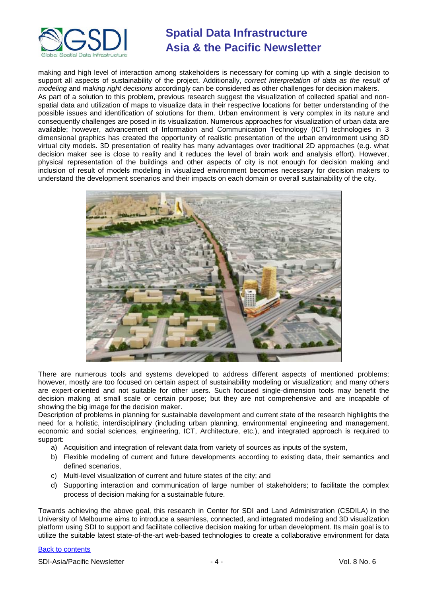

making and high level of interaction among stakeholders is necessary for coming up with a single decision to support all aspects of sustainability of the project. Additionally, *correct interpretation of data as the result of modeling* and *making right decisions* accordingly can be considered as other challenges for decision makers. As part of a solution to this problem, previous research suggest the visualization of collected spatial and nonspatial data and utilization of maps to visualize data in their respective locations for better understanding of the possible issues and identification of solutions for them. Urban environment is very complex in its nature and consequently challenges are posed in its visualization. Numerous approaches for visualization of urban data are available; however, advancement of Information and Communication Technology (ICT) technologies in 3 dimensional graphics has created the opportunity of realistic presentation of the urban environment using 3D virtual city models. 3D presentation of reality has many advantages over traditional 2D approaches (e.g. what decision maker see is close to reality and it reduces the level of brain work and analysis effort). However,

physical representation of the buildings and other aspects of city is not enough for decision making and inclusion of result of models modeling in visualized environment becomes necessary for decision makers to



There are numerous tools and systems developed to address different aspects of mentioned problems; however, mostly are too focused on certain aspect of sustainability modeling or visualization; and many others are expert-oriented and not suitable for other users. Such focused single-dimension tools may benefit the decision making at small scale or certain purpose; but they are not comprehensive and are incapable of showing the big image for the decision maker.

Description of problems in planning for sustainable development and current state of the research highlights the need for a holistic, interdisciplinary (including urban planning, environmental engineering and management, economic and social sciences, engineering, ICT, Architecture, etc.), and integrated approach is required to support:

- a) Acquisition and integration of relevant data from variety of sources as inputs of the system,
- b) Flexible modeling of current and future developments according to existing data, their semantics and defined scenarios,
- c) Multi-level visualization of current and future states of the city; and
- d) Supporting interaction and communication of large number of stakeholders; to facilitate the complex process of decision making for a sustainable future.

Towards achieving the above goal, this research in Center for SDI and Land Administration (CSDILA) in the University of Melbourne aims to introduce a seamless, connected, and integrated modeling and 3D visualization platform using SDI to support and facilitate collective decision making for urban development. Its main goal is to utilize the suitable latest state-of-the-art web-based technologies to create a collaborative environment for data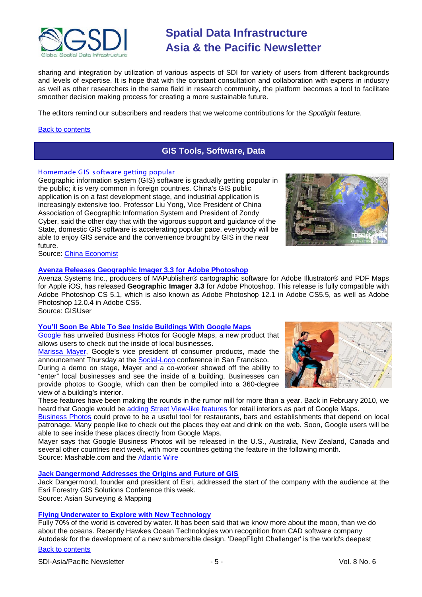

sharing and integration by utilization of various aspects of SDI for variety of users from different backgrounds and levels of expertise. It is hope that with the constant consultation and collaboration with experts in industry as well as other researchers in the same field in research community, the platform becomes a tool to facilitate smoother decision making process for creating a more sustainable future.

The editors remind our subscribers and readers that we welcome contributions for the *Spotlight* feature.

## <span id="page-4-0"></span>[Back to contents](#page-0-0)

# **GIS Tools, Software, Data**

#### Homemade GIS software getting popular

Geographic information system (GIS) software is gradually getting popular in the public; it is very common in foreign countries. China's GIS public application is on a fast development stage, and industrial application is increasingly extensive too. Professor Liu Yong, Vice President of China Association of Geographic Information System and President of Zondy Cyber, said the other day that with the vigorous support and guidance of the State, domestic GIS software is accelerating popular pace, everybody will be able to enjoy GIS service and the convenience brought by GIS in the near future.



Source: [China Economist](http://en.ce.cn/Insight/201105/11/t20110511_22414083.shtml)

### **[Avenza Releases Geographic Imager 3.3 for Adobe Photoshop](http://www.gisuser.com/content/view/23507/2/)**

Avenza Systems Inc., producers of MAPublisher® cartographic software for Adobe Illustrator® and PDF Maps for Apple iOS, has released **Geographic Imager 3.3** for Adobe Photoshop. This release is fully compatible with Adobe Photoshop CS 5.1, which is also known as Adobe Photoshop 12.1 in Adobe CS5.5, as well as Adobe Photoshop 12.0.4 in Adobe CS5. Source: GISUser

#### **[You'll Soon Be Able To See Inside Buildings With Google Maps](http://mashable.com/2011/05/05/youll-soon-be-able-to-see-inside-buildings-with-google-maps/)**

[Google](http://mashable.com/category/google) has unveiled Business Photos for Google Maps, a new product that allows users to check out the inside of local businesses.

[Marissa Mayer,](http://mashable.com/follow/topics/marissa-mayer) Google's vice president of consumer products, made the announcement Thursday at the [Social-Loco](http://socialloco.net/) conference in San Francisco.

During a demo on stage, Mayer and a co-worker showed off the ability to "enter" local businesses and see the inside of a building. Businesses can provide photos to Google, which can then be compiled into a 360-degree view of a building's interior.

These features have been making the rounds in the rumor mill for more than a year. Back in February 2010, we heard that Google would be [adding Street View-like](http://mashable.com/2010/02/04/google-store-views/) features for retail interiors as part of Google Maps.

[Business Photos](http://maps.google.com/businessphotos/) could prove to be a useful tool for restaurants, bars and establishments that depend on local patronage. Many people like to check out the places they eat and drink on the web. Soon, Google users will be able to see inside these places directly from Google Maps.

Mayer says that Google Business Photos will be released in the U.S., Australia, New Zealand, Canada and several other countries next week, with more countries getting the feature in the following month. Source: Mashable.com and the [Atlantic Wire](http://www.theatlanticwire.com/technology/2011/05/google-maps-will-soon-let-you-see-inside-buildings/37392/)

#### **[Jack Dangermond Addresses the Origins and Future of GIS](http://www.asmmag.com/features/feature/jack-dangermond-addresses-the-origins-and-future-of-gis-27051427)**

Jack Dangermond, founder and president of Esri, addressed the start of the company with the audience at the Esri Forestry GIS Solutions Conference this week. Source: Asian Surveying & Mapping

**[Flying Underwater to Explore with New Technology](http://www.asmmag.com/features/feature/flying-underwater-to-explore-with-new-technology-26051421)**

Fully 70% of the world is covered by water. It has been said that we know more about the moon, than we do about the oceans. Recently Hawkes Ocean Technologies won recognition from CAD software company Autodesk for the development of a new submersible design. 'DeepFlight Challenger' is the world's deepest

# [Back to contents](#page-0-0)

SDI-Asia/Pacific Newsletter  $\sim$  5 - Section 1.5 - Vol. 8 No. 6

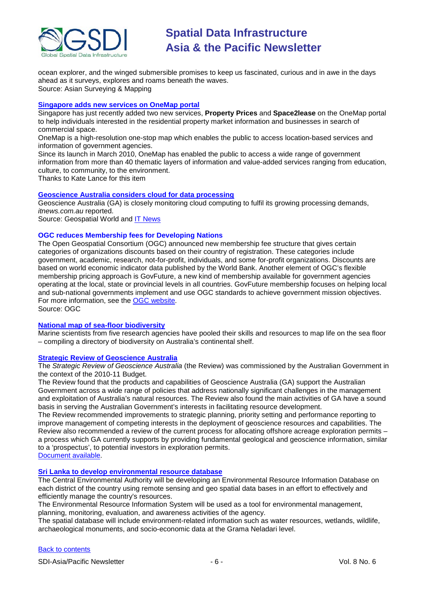

ocean explorer, and the winged submersible promises to keep us fascinated, curious and in awe in the days ahead as it surveys, explores and roams beneath the waves. Source: Asian Surveying & Mapping

#### **[Singapore adds new services on OneMap portal](http://www.futuregov.asia/articles/2011/may/19/singapore-adds-new-services-onemap-portal/)**

Singapore has just recently added two new services, **Property Prices** and **Space2lease** on the OneMap portal to help individuals interested in the residential property market information and businesses in search of commercial space.

OneMap is a high-resolution one-stop map which enables the public to access location-based services and information of government agencies.

Since its launch in March 2010, OneMap has enabled the public to access a wide range of government information from more than 40 thematic layers of information and value-added services ranging from education, culture, to community, to the environment.

Thanks to Kate Lance for this item

### **[Geoscience Australia considers cloud for data processing](http://www.geospatialworld.net/index.php?option=com_content&view=article&id=22260%3Ageoscience-australia-considers-cloud-for-data-processing&catid=66%3Aapplication-miscellaneous&Itemid=1)**

Geoscience Australia (GA) is closely monitoring cloud computing to fulfil its growing processing demands, *itnews.com.au* reported.

Source: Geospatial World and [IT News](http://www.itnews.com.au/News/258112,geoscience-australia-considers-cloud-to-simplify-ict.aspx)

#### **OGC reduces Membership fees for Developing Nations**

The Open Geospatial Consortium (OGC) announced new membership fee structure that gives certain categories of organizations discounts based on their country of registration. These categories include government, academic, research, not-for-profit, individuals, and some for-profit organizations. Discounts are based on [world economic indicator data](http://data.worldbank.org/about/country-classifications) published by the World Bank. Another element of OGC's flexible membership pricing approach is [GovFuture,](http://www.ogcnetwork.net/node/1568) a new kind of membership available for government agencies operating at the local, state or provincial levels in all countries. GovFuture membership focuses on helping local and sub-national governments implement and use OGC standards to achieve government mission objectives. For more information, see the [OGC website](http://www.opengeospatial.org/ogc/join/levels).

Source: OGC

## **[National map of sea-floor biodiversity](http://www.sciencealert.com.au/features/20111705-22160.htm)**

Marine scientists from five research agencies have pooled their skills and resources to map life on the sea floor – compiling a directory of biodiversity on Australia's continental shelf.

### **Strategic Review of Geoscience Australia**

The *Strategic Review of Geoscience Australia* (the Review) was commissioned by the Australian Government in the context of the 2010-11 Budget.

The Review found that the products and capabilities of Geoscience Australia (GA) support the Australian Government across a wide range of policies that address nationally significant challenges in the management and exploitation of Australia's natural resources. The Review also found the main activities of GA have a sound basis in serving the Australian Government's interests in facilitating resource development.

The Review recommended improvements to strategic planning, priority setting and performance reporting to improve management of competing interests in the deployment of geoscience resources and capabilities. The Review also recommended a review of the current process for allocating offshore acreage exploration permits – a process which GA currently supports by providing fundamental geological and geoscience information, similar to a 'prospectus', to potential investors in exploration permits.

[Document available.](http://www.finance.gov.au/publications/strategic-reviews/docs/strategic_review_ga.pdf)

#### **[Sri Lanka to develop environmental resource database](http://www.futuregov.asia/articles/2011/apr/22/sri-lanka-develop-environmental-resource-database/)**

The Central Environmental Authority will be developing an Environmental Resource Information Database on each district of the country using remote sensing and geo spatial data bases in an effort to effectively and efficiently manage the country's resources.

The Environmental Resource Information System will be used as a tool for environmental management, planning, monitoring, evaluation, and awareness activities of the agency.

The spatial database will include environment-related information such as water resources, wetlands, wildlife, archaeological monuments, and socio-economic data at the Grama Neladari level.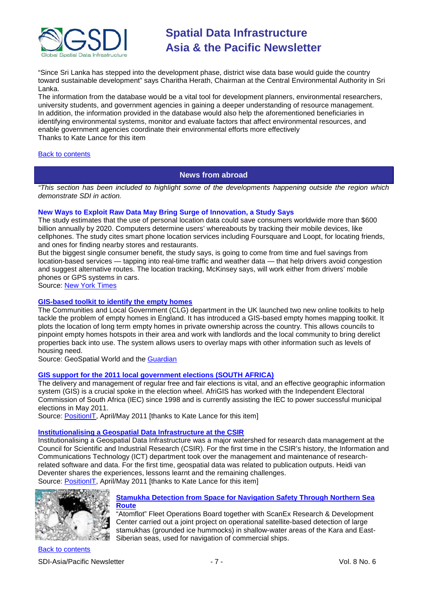

"Since Sri Lanka has stepped into the development phase, district wise data base would guide the country toward sustainable development" says Charitha Herath, Chairman at the Central Environmental Authority in Sri Lanka.

The information from the database would be a vital tool for development planners, environmental researchers, university students, and government agencies in gaining a deeper understanding of resource management. In addition, the information provided in the database would also help the aforementioned beneficiaries in identifying environmental systems, monitor and evaluate factors that affect environmental resources, and enable government agencies coordinate their environmental efforts more effectively Thanks to Kate Lance for this item

### <span id="page-6-0"></span>[Back to contents](#page-0-0)

## **News from abroad**

*"This section has been included to highlight some of the developments happening outside the region which demonstrate SDI in action.*

### **New Ways to Exploit Raw Data May Bring Surge of Innovation, a Study Says**

The study estimates that the use of personal location data could save consumers worldwide more than \$600 billion annually by 2020. Computers determine users' whereabouts by tracking their mobile devices, like cellphones. The study cites smart phone location services including Foursquare and Loopt, for locating friends, and ones for finding nearby stores and restaurants.

But the biggest single consumer benefit, the study says, is going to come from time and fuel savings from location-based services — tapping into real-time traffic and weather data — that help drivers avoid congestion and suggest alternative routes. The location tracking, McKinsey says, will work either from drivers' mobile phones or GPS systems in cars.

Source: [New York Times](http://www.nytimes.com/2011/05/13/technology/13data.html?_r=2)

## **[GIS-based toolkit to identify the empty homes](http://www.geospatialworld.net/index.php?option=com_content&view=article&id=22295%3Agis-based-toolkit-to-identify-the-empty-homes&catid=42%3Aproduct-gis&Itemid=1)**

The Communities and Local Government (CLG) department in the UK launched two new online toolkits to help tackle the problem of empty homes in England. It has introduced a GIS-based empty homes mapping toolkit. It plots the location of long term empty homes in private ownership across the country. This allows councils to pinpoint empty homes hotspots in their area and work with landlords and the local community to bring derelict properties back into use. The system allows users to overlay maps with other information such as levels of housing need.

Source: GeoSpatial World and the [Guardian](http://www.guardian.co.uk/government-computing-network/2011/may/26/communities-local-government-launches-online-property-toolkits-councils)

#### **GIS [support for the 2011 local government elections \(SOUTH AFRICA\)](http://eepublishers.co.za/article/afrigis-234-04-powering-local-elections.html)**

The delivery and management of regular free and fair elections is vital, and an effective geographic information system (GIS) is a crucial spoke in the election wheel. AfriGIS has worked with the Independent Electoral Commission of South Africa (IEC) since 1998 and is currently assisting the IEC to power successful municipal elections in May 2011.

Source: [PositionIT,](http://www.eepublishers.co.za/images/upload/PostionIT%202011/GisT_GIS_support_for_2011.pdf) April/May 2011 [thanks to Kate Lance for this item]

#### **[Institutionalising a Geospatial Data Infrastructure at the CSIR](http://eepublishers.co.za/article/csir-332-04-institutionalising-a-gsdi-in-the-csir.html)**

Institutionalising a Geospatial Data Infrastructure was a major watershed for research data management at the Council for Scientific and Industrial Research (CSIR). For the first time in the CSIR's history, the Information and Communications Technology (ICT) department took over the management and maintenance of researchrelated software and data. For the first time, geospatial data was related to publication outputs. Heidi van Deventer shares the experiences, lessons learnt and the remaining challenges. Source: [PositionIT,](http://www.eepublishers.co.za/images/upload/PostionIT%202011/GisT_Institutionalising.pdf) April/May 2011 [thanks to Kate Lance for this item]



### **[Stamukha Detection from Space for Navigation Safety Through Northern Sea](http://www.vector1media.com/news/top-stories/53-corporate-news/20265-stamukha-detection-from-space-for-navigation-safety-through-northern-sea-route.html)  [Route](http://www.vector1media.com/news/top-stories/53-corporate-news/20265-stamukha-detection-from-space-for-navigation-safety-through-northern-sea-route.html)**

"Atomflot" Fleet Operations Board together with ScanEx Research & Development Center carried out a joint project on operational satellite-based detection of large stamukhas (grounded ice hummocks) in shallow-water areas of the Kara and East-Siberian seas, used for navigation of commercial ships.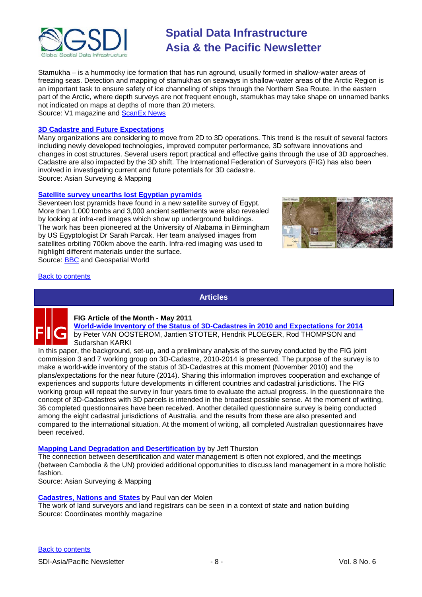

Stamukha – is a hummocky ice formation that has run aground, usually formed in shallow-water areas of freezing seas. Detection and mapping of stamukhas on seaways in shallow-water areas of the Arctic Region is an important task to ensure safety of ice channeling of ships through the Northern Sea Route. In the eastern part of the Arctic, where depth surveys are not frequent enough, stamukhas may take shape on unnamed banks not indicated on maps at depths of more than 20 meters. Source: V1 magazine and [ScanEx News](http://www.scanex.ru/en/news/News_Preview.asp?id=n1813426)

### **[3D Cadastre and Future Expectations](http://www.asmmag.com/features/feature/3d-cadastre-and-future-expectations-12051310)**

Many organizations are considering to move from 2D to 3D operations. This trend is the result of several factors including newly developed technologies, improved computer performance, 3D software innovations and changes in cost structures. Several users report practical and effective gains through the use of 3D approaches. Cadastre are also impacted by the 3D shift. The International Federation of Surveyors (FIG) has also been involved in investigating current and future potentials for 3D cadastre. Source: Asian Surveying & Mapping

#### **[Satellite survey unearths lost Egyptian pyramids](http://www.geospatialworld.net/index.php?option=com_content&view=article&id=22283%3Asatellite-survey-unearths-lost-egyptian-pyramids&catid=55%3Aapplication-archacology&Itemid=1)**

Seventeen lost pyramids have found in a new satellite survey of Egypt. More than 1,000 tombs and 3,000 ancient settlements were also revealed by looking at infra-red images which show up underground buildings. The work has been pioneered at the University of Alabama in Birmingham by US Egyptologist Dr Sarah Parcak. Her team analysed images from satellites orbiting 700km above the earth. Infra-red imaging was used to highlight different materials under the surface. Source: [BBC](http://www.bbc.co.uk/news/world-13522957) and Geospatial World



## <span id="page-7-0"></span>[Back to contents](#page-0-0)

**Articles**



#### **FIG Article of the Month - May 2011 [World-wide Inventory of the Status of 3D-Cadastres in 2010 and Expectations for 2014](http://www.fig.net/pub/monthly_articles/may_2011/may_2011_vanoosterom_stoter_et_al.pdf)** by Peter VAN OOSTEROM, Jantien STOTER, Hendrik PLOEGER, Rod THOMPSON and Sudarshan KARKI

In this paper, the background, set-up, and a preliminary analysis of the survey conducted by the FIG joint commission 3 and 7 working group on 3D-Cadastre, 2010-2014 is presented. The purpose of the survey is to make a world-wide inventory of the status of 3D-Cadastres at this moment (November 2010) and the plans/expectations for the near future (2014). Sharing this information improves cooperation and exchange of experiences and supports future developments in different countries and cadastral jurisdictions. The FIG working group will repeat the survey in four years time to evaluate the actual progress. In the questionnaire the concept of 3D-Cadastres with 3D parcels is intended in the broadest possible sense. At the moment of writing, 36 completed questionnaires have been received. Another detailed questionnaire survey is being conducted among the eight cadastral jurisdictions of Australia, and the results from these are also presented and compared to the international situation. At the moment of writing, all completed Australian questionnaires have been received.

#### **[Mapping Land Degradation and Desertification](http://www.asmmag.com/features/feature/mapping-land-degradation-and-desertification-12051303) by** by Jeff Thurston

The connection between desertification and water management is often not explored, and the meetings (between Cambodia & the UN) provided additional opportunities to discuss land management in a more holistic fashion.

Source: Asian Surveying & Mapping

#### **[Cadastres, Nations and States](http://mycoordinates.org/cadastres-nations-and-states/)** by Paul van der Molen

The work of land surveyors and land registrars can be seen in a context of state and nation building Source: Coordinates monthly magazine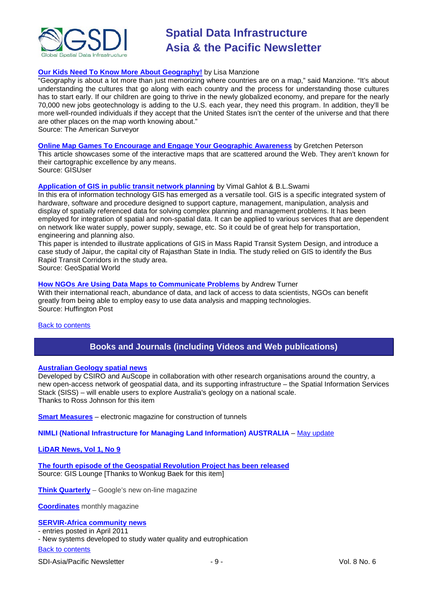

## **[Our Kids Need To Know More About Geography!](http://www.amerisurv.com/content/view/8714/)** by Lisa Manzione

"Geography is about a lot more than just memorizing where countries are on a map," said Manzione. "It's about understanding the cultures that go along with each country and the process for understanding those cultures has to start early. If our children are going to thrive in the newly globalized economy, and prepare for the nearly 70,000 new jobs geotechnology is adding to the U.S. each year, they need this program. In addition, they'll be more well-rounded individuals if they accept that the United States isn't the center of the universe and that there are other places on the map worth knowing about."

Source: The American Surveyor

#### **[Online Map Games To Encourage and Engage Your Geographic Awareness](http://www.gisuser.com/content/view/23043/222/)** by Gretchen Peterson

This article showcases some of the interactive maps that are scattered around the Web. They aren't known for their cartographic excellence by any means. Source: GISUser

#### **[Application of GIS in public transit network planning](http://www.geospatialworld.net/index.php?option=com_content&view=article&id=22301%3Aapplication-of-gis-in-public-transit-network-planning&catid=166%3Autility-transport&Itemid=41)** by Vimal Gahlot & B.L.Swami

In this era of information technology GIS has emerged as a versatile tool. GIS is a specific integrated system of hardware, software and procedure designed to support capture, management, manipulation, analysis and display of spatially referenced data for solving complex planning and management problems. It has been employed for integration of spatial and non-spatial data. It can be applied to various services that are dependent on network like water supply, power supply, sewage, etc. So it could be of great help for transportation, engineering and planning also.

This paper is intended to illustrate applications of GIS in Mass Rapid Transit System Design, and introduce a case study of Jaipur, the capital city of Rajasthan State in India. The study relied on GIS to identify the Bus Rapid Transit Corridors in the study area.

Source: GeoSpatial World

### **[How NGOs Are Using Data Maps to Communicate Problems](http://www.huffingtonpost.com/andrew-turner/ngos-data-maps-communicate_b_863375.html)** by Andrew Turner

With their international reach, abundance of data, and lack of access to data scientists, NGOs can benefit greatly from being able to employ easy to use data analysis and mapping technologies. Source: Huffington Post

### <span id="page-8-0"></span>[Back to contents](#page-0-0)

# **Books and Journals (including Videos and Web publications)**

### **[Australian Geology spatial news](http://www.csiro.au/news/Geological-information-available-at-click-of-a-button.html)**

Developed by CSIRO and AuScope in collaboration with other research organisations around the country, a new open-access network of geospatial data, and its supporting infrastructure – the Spatial Information Services Stack (SISS) – will enable users to explore Australia's geology on a national scale. Thanks to Ross Johnson for this item

**[Smart Measures](http://news.ambergtechnologies.com/file/control-your-tunnel.pdf)** – electronic magazine for construction of tunnels

#### **NIMLI (National Infrastructure for Managing Land Information) AUSTRALIA** – [May update](http://blogs.unimelb.edu.au/nimli/2011/05/04/nimli-may-update-2/#more-630)

### **[LiDAR News, Vol 1, No 9](http://www.lidarnews.com/newsletter/Vol1No9.htm)**

**[The fourth episode of the Geospatial Revolution Project has been released](http://geospatialrevolution.psu.edu/episode4)** Source: GIS Lounge [Thanks to Wonkug Baek for this item]

**[Think Quarterly](http://thinkquarterly.co.uk/#aboutthebook)** – Google's new on-line magazine

**[Coordinates](http://mycoordinates.org/pdf/may11.pdf)** monthly magazine

**[SERVIR-Africa community news](http://www.servirglobal.net/africa/en/News/CommunityNews.aspx)**

# - entries posted in April 2011

- New systems developed to study water quality and eutrophication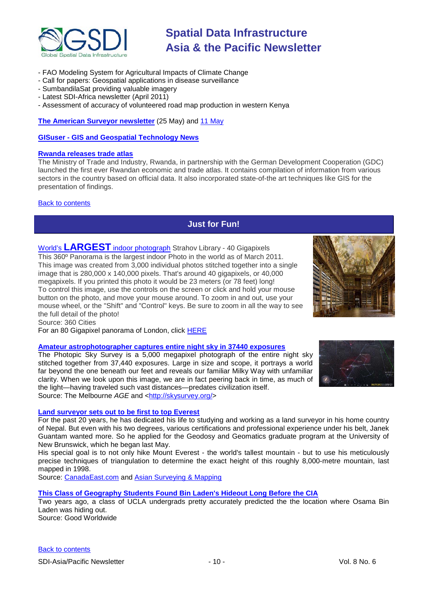

- FAO Modeling System for Agricultural Impacts of Climate Change
- Call for papers: Geospatial applications in disease surveillance
- SumbandilaSat providing valuable imagery
- Latest SDI-Africa newsletter (April 2011)
- Assessment of accuracy of volunteered road map production in western Kenya

**[The American Surveyor newsletter](http://www.amerisurv.com/newsletter/25MAY2011.htm)** (25 May) and [11 May](http://www.amerisurv.com/newsletter/11MAY2011.htm)

**GISuser - [GIS and Geospatial Technology News](http://www.gisuser.com/)**

### **[Rwanda releases trade atlas](http://www.geospatialworld.net/index.php?option=com_content&view=article&id=22287%3Arwanda-releases-trade-atlas&catid=48%3Aproduct-cartography-map-publishing&Itemid=1)**

The Ministry of Trade and Industry, Rwanda, in partnership with the German Development Cooperation (GDC) launched the first ever Rwandan economic and trade atlas. It contains compilation of information from various sectors in the country based on official data. It also incorporated state-of-the art techniques like GIS for the presentation of findings.

## <span id="page-9-0"></span>[Back to contents](#page-0-0)

# **Just for Fun!**

World's **[LARGEST](http://www.360cities.net/gigapixel/strahov-library.html)** indoor photograph Strahov Library - 40 Gigapixels This 360º Panorama is the largest indoor Photo in the world as of March 2011. This image was created from 3,000 individual photos stitched together into a single image that is 280,000 x 140,000 pixels. That's around 40 gigapixels, or 40,000 megapixels. If you printed this photo it would be 23 meters (or 78 feet) long! To control this image, use the controls on the screen or click and hold your mouse button on the photo, and move your mouse around. To zoom in and out, use your mouse wheel, or the "Shift" and "Control" keys. Be sure to zoom in all the way to see the full detail of the photo!



For an 80 Gigapixel panorama of London, click [HERE](http://www.360cities.net/london-photo-en.html)

## **[Amateur astrophotographer captures entire night sky in 37440 exposures](http://www.theage.com.au/technology/sci-tech/amateur-astrophotographer-captures-entire-night-sky-in-37440-exposures-20110516-1eoll.html)**

The Photopic Sky Survey is a 5,000 megapixel photograph of the entire night sky stitched together from 37,440 exposures. Large in size and scope, it portrays a world far beyond the one beneath our feet and reveals our familiar Milky Way with unfamiliar clarity. When we look upon this image, we are in fact peering back in time, as much of the light—having traveled such vast distances—predates civilization itself. Source: The Melbourne *AGE* and [<http://skysurvey.org/>](http://skysurvey.org/)

#### **[Land surveyor sets out to be first to top Everest](http://herenb.canadaeast.com/news/article/1409568)**

For the past 20 years, he has dedicated his life to studying and working as a land surveyor in his home country of Nepal. But even with his two degrees, various certifications and professional experience under his belt, Janek Guantam wanted more. So he applied for the Geodosy and Geomatics graduate program at the University of New Brunswick, which he began last May.

His special goal is to not only hike Mount Everest - the world's tallest mountain - but to use his meticulously precise techniques of triangulation to determine the exact height of this roughly 8,000-metre mountain, last mapped in 1998.

Source: [CanadaEast.com](http://herenb.canadaeast.com/) and [Asian Surveying & Mapping](http://www.asmmag.com/news/headlines/land-surveyor-sets-out-to-be-first-to-top-everest-27051425)

**[This Class of Geography Students Found Bin Laden's Hideout Long Before the CIA](http://www.good.is/post/ecosystem-geographers-predict-bin-laden-s-hideout?utm_campaign=daily_good&utm_medium=email_daily_good&utm_source=headline_link&utm_content=A%20Class%20of%20Geography%20Students%20Found%20Bin%20Laden%27s%20Hideout%20Long%20Before%20t)**

Two years ago, a class of UCLA undergrads pretty accurately predicted the the location where Osama Bin Laden was hiding out. Source: Good Worldwide

[Back to contents](#page-0-0)

SDI-Asia/Pacific Newsletter  $\sim$  10 - 10 - Vol. 8 No. 6

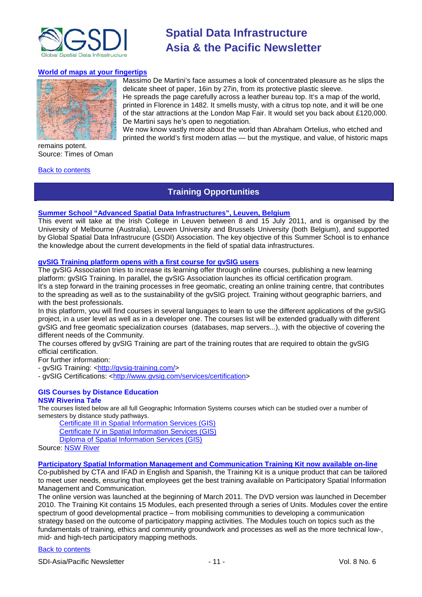

Massimo De Martini's face assumes a look of concentrated pleasure as he slips the

We now know vastly more about the world than Abraham Ortelius, who etched and

#### **[World of maps at your fingertips](http://www.timesofoman.com/featuredetail.asp?fid=900)**



remains potent. Source: Times of Oman

#### <span id="page-10-0"></span>[Back to contents](#page-0-0)

# **Training Opportunities**

De Martini says he's open to negotiation.

## **[Summer School "Advanced Spatial Data Infrastructures", Leuven, Belgium](http://www.spatialist.be/201101-school/index.htm)**

This event will take at the Irish College in Leuven between 8 and 15 July 2011, and is organised by the University of Melbourne (Australia), Leuven University and Brussels University (both Belgium), and supported by Global Spatial Data Infrastrucure (GSDI) Association. The key objective of this Summer School is to enhance the knowledge about the current developments in the field of spatial data infrastructures.

## **gvSIG Training platform opens with a first course for gvSIG users**

The gvSIG Association tries to increase its learning offer through online courses, publishing a new learning platform: gvSIG Training. In parallel, the gvSIG Association launches its official certification program. It's a step forward in the training processes in free geomatic, creating an online training centre, that contributes to the spreading as well as to the sustainability of the gvSIG project. Training without geographic barriers, and with the best professionals.

In this platform, you will find courses in several languages to learn to use the different applications of the gvSIG project, in a user level as well as in a developer one. The courses list will be extended gradually with different gvSIG and free geomatic specialization courses (databases, map servers...), with the objective of covering the different needs of the Community.

The courses offered by gvSIG Training are part of the training routes that are required to obtain the gvSIG official certification.

For further information:

- gvSIG Training: [<http://gvsig-training.com/>](http://gvsig-training.com/)

- gvSIG Certifications: [<http://www.gvsig.com/services/certification>](http://www.gvsig.com/services/certification)

#### **GIS Courses by Distance Education NSW Riverina Tafe**

The courses listed below are all full Geographic Information Systems courses which can be studied over a number of semesters by distance study pathways.

[Certificate III in Spatial Information Services \(GIS\)](http://www.rit.tafensw.edu.au/nec/nrme/giscourses#Cert III in Spatial Information Services (CPP30109))

[Certificate IV in Spatial Information Services \(GIS\)](http://www.rit.tafensw.edu.au/nec/nrme/giscourses#Cert IV in Spatial Information Services (CPP40209))

[Diploma of Spatial Information Services \(GIS\)](http://www.rit.tafensw.edu.au/nec/nrme/giscourses#Diploma of Spatial Information Services (CPP50207))

Sourc[e: NSW River](http://www.rit.tafensw.edu.au/nec/nrme/giscourses)

#### **[Participatory Spatial Information Management and Communication Training Kit now available on-line](http://www.cta.int/en/About-us/CTA-news/Participatory-Spatial-Information-Management-and-Communication-Training-Kit-now-available-on-line)**

Co-published by CTA and IFAD in English and Spanish, the Training Kit is a unique product that can be tailored to meet user needs, ensuring that employees get the best training available on Participatory Spatial Information Management and Communication.

The [online version](http://pgis-tk.cta.int/) was launched at the beginning of March 2011. The DVD version was launched in December 2010. The Training Kit contains 15 Modules, each presented through a series of Units. Modules cover the entire spectrum of good developmental practice – from mobilising communities to developing a communication strategy based on the outcome of participatory mapping activities. The Modules touch on topics such as the fundamentals of training, ethics and community groundwork and processes as well as the more technical low-, mid- and high-tech participatory mapping methods.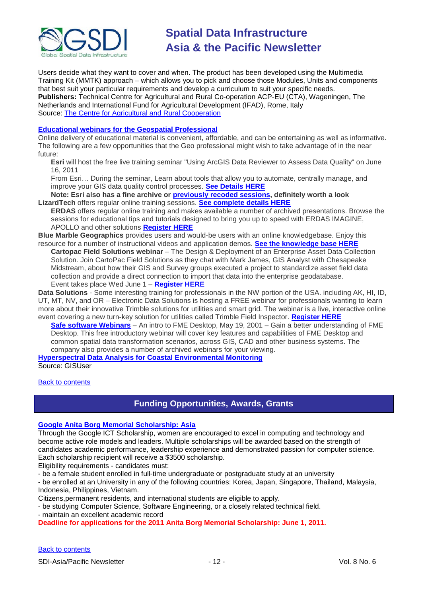

Users decide what they want to cover and when. The product has been developed using the Multimedia Training Kit (MMTK) approach – which allows you to pick and choose those Modules, Units and components that best suit your particular requirements and develop a curriculum to suit your specific needs. **Publishers:** Technical Centre for Agricultural and Rural Co-operation ACP-EU (CTA), Wageningen, The Netherlands and International Fund for Agricultural Development (IFAD), Rome, Italy Source: [The Centre for Agricultural and Rural Cooperation](http://www.cta.int/en/About-us/Who-we-are)

### **[Educational webinars for the Geospatial Professional](http://www.gisuser.com/content/view/23506/2/)**

Online delivery of educational material is convenient, affordable, and can be entertaining as well as informative. The following are a few opportunities that the Geo professional might wish to take advantage of in the near future:

**Esri** will host the free live training seminar "Using ArcGIS Data Reviewer to Assess Data Quality" on June 16, 2011

From Esri… During the seminar, Learn about tools that allow you to automate, centrally manage, and improve your GIS data quality control processes. **[See Details HERE](http://www.esri.com/lts)**

**Note: Esri also has a fine archive or [previously recoded sessions,](http://training.esri.com/gateway/index.cfm?fa=seminars.recordedSeminars) definitely worth a look LizardTech** offers regular online training sessions. **[See complete details HERE](http://www.lizardtech.com/news/events/?section=webinars)**

**ERDAS** offers regular online training and makes available a number of archived presentations. Browse the sessions for educational tips and tutorials designed to bring you up to speed with ERDAS IMAGINE, APOLLO and other solutions **[Register HERE](http://www.erdas.com/Resources/webinars/ArchivedWebinars.aspx)**

**Blue Marble Geographics** provides users and would-be users with an online knowledgebase. Enjoy this resource for a number of instructional videos and application demos. **[See the knowledge base HERE](http://www.bluemarblegeo.com/knowledgebase/videos/index.php)**

**Cartopac Field Solutions webinar** – The Design & Deployment of an Enterprise Asset Data Collection Solution. Join CartoPac Field Solutions as they chat with Mark James, GIS Analyst with Chesapeake Midstream, about how their GIS and Survey groups executed a project to standardize asset field data collection and provide a direct connection to import that data into the enterprise geodatabase. Event takes place Wed June 1 – **[Register HERE](https://www3.gotomeeting.com/register/384543774)**

**Data Solutions** - Some interesting training for professionals in the NW portion of the USA. including AK, HI, ID, UT, MT, NV, and OR – Electronic Data Solutions is hosting a FREE webinar for professionals wanting to learn more about their innovative Trimble solutions for utilities and smart grid. The webinar is a live, interactive online event covering a new turn-key solution for utilities called Trimble Field Inspector. **[Register HERE](https://www2.gotomeeting.com/register/358748467)**

**[Safe software Webinars](http://safe.com/learning/webinars/)** – An intro to FME Desktop, May 19, 2001 – Gain a better understanding of FME Desktop. This free introductory webinar will cover key features and capabilities of FME Desktop and common spatial data transformation scenarios, across GIS, CAD and other business systems. The company also provides a number of archived webinars for your viewing.

**[Hyperspectral Data Analysis for Coastal Environmental Monitoring](http://www.ittvis.com/EventsTraining/LiveWebSeminars.aspx)** Source: GISUser

<span id="page-11-0"></span>**[Back to contents](#page-0-0)** 

# **Funding Opportunities, Awards, Grants**

## **[Google Anita Borg Memorial Scholarship: Asia](http://www.google.com/anitaborg/apac/)**

Through the Google ICT Scholarship, women are encouraged to excel in computing and technology and become active role models and leaders. Multiple scholarships will be awarded based on the strength of candidates academic performance, leadership experience and demonstrated passion for computer science. Each scholarship recipient will receive a \$3500 scholarship.

Eligibility requirements - candidates must:

- be a female student enrolled in full-time undergraduate or postgraduate study at an university

- be enrolled at an University in any of the following countries: Korea, Japan, Singapore, Thailand, Malaysia, Indonesia, Philippines, Vietnam.

Citizens,permanent residents, and international students are eligible to apply.

- be studying Computer Science, Software Engineering, or a closely related technical field.

- maintain an excellent academic record

**Deadline for applications for the 2011 Anita Borg Memorial Scholarship: June 1, 2011.**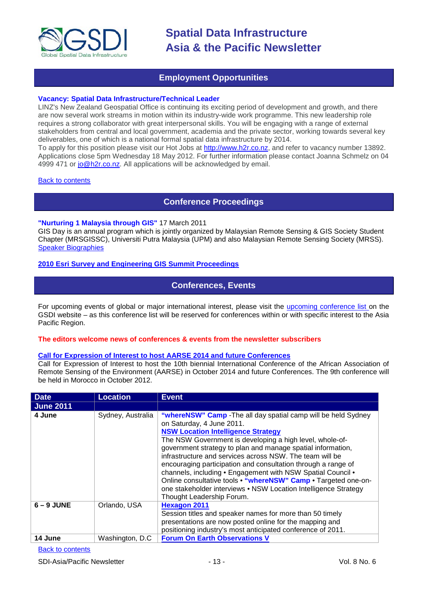

# **Employment Opportunities**

### <span id="page-12-0"></span>**Vacancy: Spatial Data Infrastructure/Technical Leader**

LINZ's New Zealand Geospatial Office is continuing its exciting period of development and growth, and there are now several work streams in motion within its industry-wide work programme. This new leadership role requires a strong collaborator with great interpersonal skills. You will be engaging with a range of external stakeholders from central and local government, academia and the private sector, working towards several key deliverables, one of which is a national formal spatial data infrastructure by 2014.

To apply for this position please visit our Hot Jobs at [http://www.h2r.co.nz,](http://www.h2r.co.nz/) and refer to vacancy number 13892. Applications close 5pm Wednesday 18 May 2012. For further information please contact Joanna Schmelz on 04 4999 471 or [jo@h2r.co.nz.](mailto:jo@h2r.co.nz) All applications will be acknowledged by email.

#### <span id="page-12-1"></span>**[Back to contents](#page-0-0)**

## **Conference Proceedings**

### **"Nurturing 1 Malaysia through GIS"** 17 March 2011

GIS Day is an annual program which is jointly organized by Malaysian Remote Sensing & GIS Society Student Chapter (MRSGISSC), Universiti Putra Malaysia (UPM) and also Malaysian Remote Sensing Society (MRSS). [Speaker Biographies](https://sites.google.com/site/upmgisday2011/tentatives/speakers-biography)

## <span id="page-12-2"></span>**[2010 Esri Survey and Engineering GIS Summit Proceedings](http://proceedings.esri.com/library/userconf/survey10/index.html)**

# **Conferences, Events**

For upcoming events of global or major international interest, please visit the [upcoming conference list o](http://gsdi.org/events/upcnf.asp)n the GSDI website – as this conference list will be reserved for conferences within or with specific interest to the Asia Pacific Region.

### **The editors welcome news of conferences & events from the newsletter subscribers**

#### **[Call for Expression of Interest to host AARSE 2014 and future Conferences](http://lists.gsdi.org/pipermail/sdi-africa/2010-November/001135.html)**

Call for Expression of Interest to host the 10th biennial International Conference of the African Association of Remote Sensing of the Environment (AARSE) in October 2014 and future Conferences. The 9th conference will be held in Morocco in October 2012.

| <b>Date</b>      | <b>Location</b>   | <b>Event</b>                                                                                                                                                                                                                                                                                                                                                                                                                                                                                                                                                                                                                      |
|------------------|-------------------|-----------------------------------------------------------------------------------------------------------------------------------------------------------------------------------------------------------------------------------------------------------------------------------------------------------------------------------------------------------------------------------------------------------------------------------------------------------------------------------------------------------------------------------------------------------------------------------------------------------------------------------|
| <b>June 2011</b> |                   |                                                                                                                                                                                                                                                                                                                                                                                                                                                                                                                                                                                                                                   |
| 4 June           | Sydney, Australia | "whereNSW" Camp - The all day spatial camp will be held Sydney<br>on Saturday, 4 June 2011.<br><b>NSW Location Intelligence Strategy</b><br>The NSW Government is developing a high level, whole-of-<br>government strategy to plan and manage spatial information,<br>infrastructure and services across NSW. The team will be<br>encouraging participation and consultation through a range of<br>channels, including • Engagement with NSW Spatial Council •<br>Online consultative tools • "whereNSW" Camp • Targeted one-on-<br>one stakeholder interviews • NSW Location Intelligence Strategy<br>Thought Leadership Forum. |
| $6 - 9$ JUNE     | Orlando, USA      | <b>Hexagon 2011</b><br>Session titles and speaker names for more than 50 timely<br>presentations are now posted online for the mapping and<br>positioning industry's most anticipated conference of 2011.                                                                                                                                                                                                                                                                                                                                                                                                                         |
| 14 June          | Washington, D.C.  | <b>Forum On Earth Observations V</b>                                                                                                                                                                                                                                                                                                                                                                                                                                                                                                                                                                                              |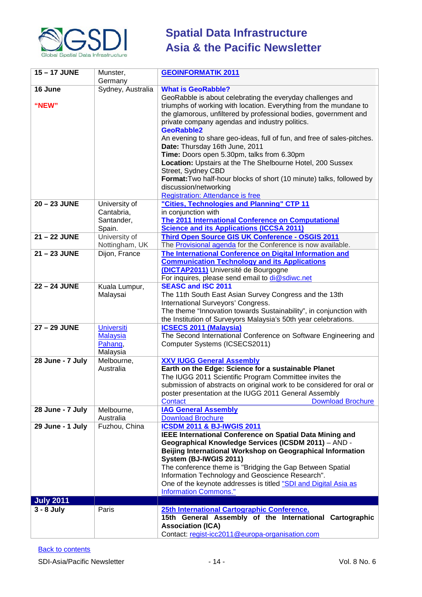

| 15-17 JUNE            | Munster,<br>Germany                                         | <b>GEOINFORMATIK 2011</b>                                                                                                                                                                                                                                                                                                                                                                                                                                                                                                                                                                                                                                                                                                                 |
|-----------------------|-------------------------------------------------------------|-------------------------------------------------------------------------------------------------------------------------------------------------------------------------------------------------------------------------------------------------------------------------------------------------------------------------------------------------------------------------------------------------------------------------------------------------------------------------------------------------------------------------------------------------------------------------------------------------------------------------------------------------------------------------------------------------------------------------------------------|
| 16 June               | Sydney, Australia                                           | <b>What is GeoRabble?</b>                                                                                                                                                                                                                                                                                                                                                                                                                                                                                                                                                                                                                                                                                                                 |
| "NEW"<br>20 - 23 JUNE | University of<br>Cantabria,                                 | GeoRabble is about celebrating the everyday challenges and<br>triumphs of working with location. Everything from the mundane to<br>the glamorous, unfiltered by professional bodies, government and<br>private company agendas and industry politics.<br><b>GeoRabble2</b><br>An evening to share geo-ideas, full of fun, and free of sales-pitches.<br>Date: Thursday 16th June, 2011<br>Time: Doors open 5.30pm, talks from 6.30pm<br>Location: Upstairs at the The Shelbourne Hotel, 200 Sussex<br>Street, Sydney CBD<br>Format: Two half-hour blocks of short (10 minute) talks, followed by<br>discussion/networking<br><b>Registration: Attendance is free</b><br>"Cities, Technologies and Planning" CTP 11<br>in conjunction with |
|                       | Santander,<br>Spain.                                        | The 2011 International Conference on Computational<br><b>Science and its Applications (ICCSA 2011)</b>                                                                                                                                                                                                                                                                                                                                                                                                                                                                                                                                                                                                                                    |
| 21-22 JUNE            | University of<br>Nottingham, UK                             | Third Open Source GIS UK Conference - OSGIS 2011<br>The Provisional agenda for the Conference is now available.                                                                                                                                                                                                                                                                                                                                                                                                                                                                                                                                                                                                                           |
| 21-23 JUNE            | Dijon, France                                               | The International Conference on Digital Information and<br><b>Communication Technology and its Applications</b><br>(DICTAP2011) Université de Bourgogne<br>For inquires, please send email to di@sdiwc.net                                                                                                                                                                                                                                                                                                                                                                                                                                                                                                                                |
| 22 - 24 JUNE          | Kuala Lumpur,<br>Malaysai                                   | <b>SEASC and ISC 2011</b><br>The 11th South East Asian Survey Congress and the 13th<br>International Surveyors' Congress.<br>The theme "Innovation towards Sustainability", in conjunction with<br>the Institution of Surveyors Malaysia's 50th year celebrations.                                                                                                                                                                                                                                                                                                                                                                                                                                                                        |
| 27 - 29 JUNE          | <b>Universiti</b><br><b>Malaysia</b><br>Pahang,<br>Malaysia | <b>ICSECS 2011 (Malaysia)</b><br>The Second International Conference on Software Engineering and<br>Computer Systems (ICSECS2011)                                                                                                                                                                                                                                                                                                                                                                                                                                                                                                                                                                                                         |
| 28 June - 7 July      | Melbourne,<br>Australia                                     | <b>XXV IUGG General Assembly</b><br>Earth on the Edge: Science for a sustainable Planet<br>The IUGG 2011 Scientific Program Committee invites the<br>submission of abstracts on original work to be considered for oral or<br>poster presentation at the IUGG 2011 General Assembly<br><b>Contact</b><br><b>Download Brochure</b>                                                                                                                                                                                                                                                                                                                                                                                                         |
| 28 June - 7 July      | Melbourne,<br>Australia                                     | <b>IAG General Assembly</b><br><b>Download Brochure</b>                                                                                                                                                                                                                                                                                                                                                                                                                                                                                                                                                                                                                                                                                   |
| 29 June - 1 July      | Fuzhou, China                                               | <b>ICSDM 2011 &amp; BJ-IWGIS 2011</b><br>IEEE International Conference on Spatial Data Mining and<br>Geographical Knowledge Services (ICSDM 2011) - AND -<br>Beijing International Workshop on Geographical Information<br>System (BJ-IWGIS 2011)<br>The conference theme is "Bridging the Gap Between Spatial<br>Information Technology and Geoscience Research".<br>One of the keynote addresses is titled "SDI and Digital Asia as<br><b>Information Commons."</b>                                                                                                                                                                                                                                                                     |
| <b>July 2011</b>      |                                                             |                                                                                                                                                                                                                                                                                                                                                                                                                                                                                                                                                                                                                                                                                                                                           |
| $3 - 8$ July          | Paris                                                       | 25th International Cartographic Conference.<br>15th General Assembly of the International Cartographic<br><b>Association (ICA)</b><br>Contact: regist-icc2011@europa-organisation.com                                                                                                                                                                                                                                                                                                                                                                                                                                                                                                                                                     |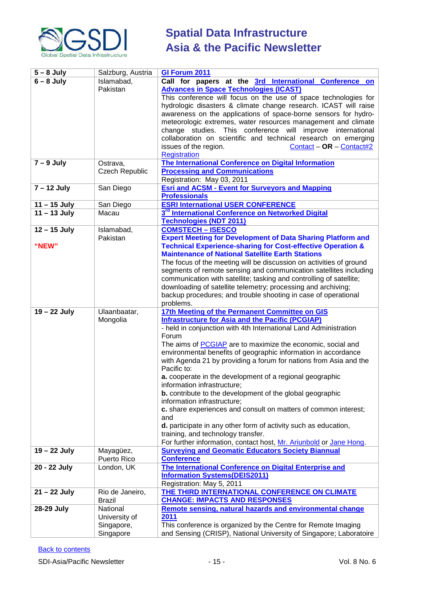

| $5 - 8$ July   | Salzburg, Austria     | GI Forum 2011                                                                                                                        |
|----------------|-----------------------|--------------------------------------------------------------------------------------------------------------------------------------|
| $6 - 8$ July   | Islamabad,            | Call for papers at the 3rd International Conference on                                                                               |
|                | Pakistan              | <b>Advances in Space Technologies (ICAST)</b>                                                                                        |
|                |                       | This conference will focus on the use of space technologies for                                                                      |
|                |                       | hydrologic disasters & climate change research. ICAST will raise                                                                     |
|                |                       | awareness on the applications of space-borne sensors for hydro-                                                                      |
|                |                       | meteorologic extremes, water resources management and climate                                                                        |
|                |                       | change studies. This conference will improve international                                                                           |
|                |                       | collaboration on scientific and technical research on emerging                                                                       |
|                |                       | issues of the region.<br>Contact - OR - Contact#2                                                                                    |
|                |                       | <b>Registration</b>                                                                                                                  |
| $7 - 9$ July   | Ostrava,              | The International Conference on Digital Information                                                                                  |
|                | <b>Czech Republic</b> | <b>Processing and Communications</b>                                                                                                 |
|                |                       | Registration: May 03, 2011                                                                                                           |
| $7 - 12$ July  | San Diego             | <b>Esri and ACSM - Event for Surveyors and Mapping</b>                                                                               |
|                |                       | <b>Professionals</b>                                                                                                                 |
| $11 - 15$ July | San Diego             | <b>ESRI International USER CONFERENCE</b>                                                                                            |
| $11 - 13$ July | Macau                 | 3 <sup>rd</sup> International Conference on Networked Digital                                                                        |
|                |                       | <b>Technologies (NDT 2011)</b>                                                                                                       |
| $12 - 15$ July | Islamabad,            | <b>COMSTECH - ISESCO</b>                                                                                                             |
|                | Pakistan              | <b>Expert Meeting for Development of Data Sharing Platform and</b>                                                                   |
| "NEW"          |                       | <b>Technical Experience-sharing for Cost-effective Operation &amp;</b>                                                               |
|                |                       | <b>Maintenance of National Satellite Earth Stations</b>                                                                              |
|                |                       | The focus of the meeting will be discussion on activities of ground                                                                  |
|                |                       | segments of remote sensing and communication satellites including                                                                    |
|                |                       | communication with satellite; tasking and controlling of satellite;                                                                  |
|                |                       | downloading of satellite telemetry; processing and archiving;                                                                        |
|                |                       | backup procedures; and trouble shooting in case of operational                                                                       |
|                |                       | problems.                                                                                                                            |
| 19 - 22 July   | Ulaanbaatar,          | 17th Meeting of the Permanent Committee on GIS                                                                                       |
|                | Mongolia              | <b>Infrastructure for Asia and the Pacific (PCGIAP)</b>                                                                              |
|                |                       | - held in conjunction with 4th International Land Administration                                                                     |
|                |                       | Forum                                                                                                                                |
|                |                       | The aims of <b>PCGIAP</b> are to maximize the economic, social and<br>environmental benefits of geographic information in accordance |
|                |                       | with Agenda 21 by providing a forum for nations from Asia and the                                                                    |
|                |                       | Pacific to:                                                                                                                          |
|                |                       | a. cooperate in the development of a regional geographic                                                                             |
|                |                       | information infrastructure;                                                                                                          |
|                |                       | <b>b.</b> contribute to the development of the global geographic                                                                     |
|                |                       | information infrastructure;                                                                                                          |
|                |                       | c. share experiences and consult on matters of common interest;                                                                      |
|                |                       | and                                                                                                                                  |
|                |                       | d. participate in any other form of activity such as education,                                                                      |
|                |                       | training, and technology transfer.                                                                                                   |
|                |                       | For further information, contact host, Mr. Ariunbold or Jane Hong.                                                                   |
| 19 - 22 July   | Mayagüez,             | <b>Surveying and Geomatic Educators Society Biannual</b>                                                                             |
|                | Puerto Rico           | <b>Conference</b>                                                                                                                    |
| 20 - 22 July   | London, UK            | The International Conference on Digital Enterprise and                                                                               |
|                |                       | <b>Information Systems(DEIS2011)</b>                                                                                                 |
|                |                       | Registration: May 5, 2011                                                                                                            |
| $21 - 22$ July | Rio de Janeiro,       | THE THIRD INTERNATIONAL CONFERENCE ON CLIMATE                                                                                        |
|                | <b>Brazil</b>         | <b>CHANGE: IMPACTS AND RESPONSES</b>                                                                                                 |
| 28-29 July     | National              | Remote sensing, natural hazards and environmental change                                                                             |
|                | University of         | 2011                                                                                                                                 |
|                | Singapore,            | This conference is organized by the Centre for Remote Imaging                                                                        |
|                | Singapore             | and Sensing (CRISP), National University of Singapore; Laboratoire                                                                   |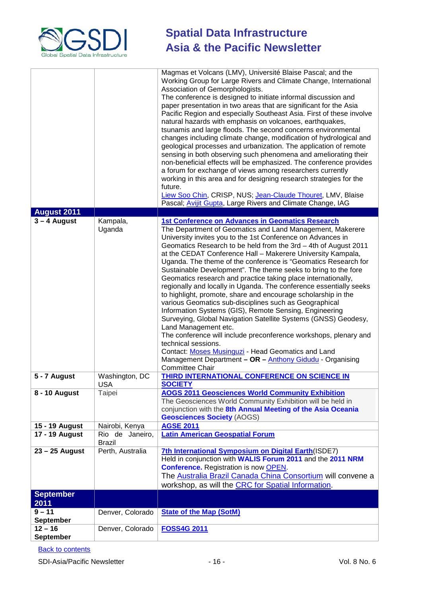

| <b>August 2011</b>            |                                  | Magmas et Volcans (LMV), Université Blaise Pascal; and the<br>Working Group for Large Rivers and Climate Change, International<br>Association of Gemorphologists.<br>The conference is designed to initiate informal discussion and<br>paper presentation in two areas that are significant for the Asia<br>Pacific Region and especially Southeast Asia. First of these involve<br>natural hazards with emphasis on volcanoes, earthquakes,<br>tsunamis and large floods. The second concerns environmental<br>changes including climate change, modification of hydrological and<br>geological processes and urbanization. The application of remote<br>sensing in both observing such phenomena and ameliorating their<br>non-beneficial effects will be emphasized. The conference provides<br>a forum for exchange of views among researchers currently<br>working in this area and for designing research strategies for the<br>future.<br>Liew Soo Chin, CRISP, NUS; Jean-Claude Thouret, LMV, Blaise<br>Pascal; Avijit Gupta, Large Rivers and Climate Change, IAG                                             |
|-------------------------------|----------------------------------|------------------------------------------------------------------------------------------------------------------------------------------------------------------------------------------------------------------------------------------------------------------------------------------------------------------------------------------------------------------------------------------------------------------------------------------------------------------------------------------------------------------------------------------------------------------------------------------------------------------------------------------------------------------------------------------------------------------------------------------------------------------------------------------------------------------------------------------------------------------------------------------------------------------------------------------------------------------------------------------------------------------------------------------------------------------------------------------------------------------------|
|                               |                                  |                                                                                                                                                                                                                                                                                                                                                                                                                                                                                                                                                                                                                                                                                                                                                                                                                                                                                                                                                                                                                                                                                                                        |
| $3 - 4$ August                | Kampala,<br>Uganda               | <b>1st Conference on Advances in Geomatics Research</b><br>The Department of Geomatics and Land Management, Makerere<br>University invites you to the 1st Conference on Advances in<br>Geomatics Research to be held from the 3rd - 4th of August 2011<br>at the CEDAT Conference Hall - Makerere University Kampala,<br>Uganda. The theme of the conference is "Geomatics Research for<br>Sustainable Development". The theme seeks to bring to the fore<br>Geomatics research and practice taking place internationally,<br>regionally and locally in Uganda. The conference essentially seeks<br>to highlight, promote, share and encourage scholarship in the<br>various Geomatics sub-disciplines such as Geographical<br>Information Systems (GIS), Remote Sensing, Engineering<br>Surveying, Global Navigation Satellite Systems (GNSS) Geodesy,<br>Land Management etc.<br>The conference will include preconference workshops, plenary and<br>technical sessions.<br>Contact: Moses Musinguzi - Head Geomatics and Land<br>Management Department - OR - Anthony Gidudu - Organising<br><b>Committee Chair</b> |
| 5 - 7 August                  | Washington, DC                   | <b>THIRD INTERNATIONAL CONFERENCE ON SCIENCE IN</b><br><b>SOCIETY</b>                                                                                                                                                                                                                                                                                                                                                                                                                                                                                                                                                                                                                                                                                                                                                                                                                                                                                                                                                                                                                                                  |
| 8 - 10 August                 | USA<br>Taipei                    | <b>AOGS 2011 Geosciences World Community Exhibition</b>                                                                                                                                                                                                                                                                                                                                                                                                                                                                                                                                                                                                                                                                                                                                                                                                                                                                                                                                                                                                                                                                |
|                               |                                  | The Geosciences World Community Exhibition will be held in<br>conjunction with the 8th Annual Meeting of the Asia Oceania<br><b>Geosciences Society (AOGS)</b>                                                                                                                                                                                                                                                                                                                                                                                                                                                                                                                                                                                                                                                                                                                                                                                                                                                                                                                                                         |
| 15 - 19 August                | Nairobi, Kenya                   | <b>AGSE 2011</b>                                                                                                                                                                                                                                                                                                                                                                                                                                                                                                                                                                                                                                                                                                                                                                                                                                                                                                                                                                                                                                                                                                       |
| <b>17 - 19 August</b>         | Rio de Janeiro,<br><b>Brazil</b> | <b>Latin American Geospatial Forum</b>                                                                                                                                                                                                                                                                                                                                                                                                                                                                                                                                                                                                                                                                                                                                                                                                                                                                                                                                                                                                                                                                                 |
| $23 - 25$ August              | Perth, Australia                 | 7th International Symposium on Digital Earth(ISDE7)<br>Held in conjunction with WALIS Forum 2011 and the 2011 NRM<br><b>Conference.</b> Registration is now <b>OPEN</b> .<br>The Australia Brazil Canada China Consortium will convene a<br>workshop, as will the CRC for Spatial Information.                                                                                                                                                                                                                                                                                                                                                                                                                                                                                                                                                                                                                                                                                                                                                                                                                         |
| <b>September</b>              |                                  |                                                                                                                                                                                                                                                                                                                                                                                                                                                                                                                                                                                                                                                                                                                                                                                                                                                                                                                                                                                                                                                                                                                        |
| 2011                          |                                  |                                                                                                                                                                                                                                                                                                                                                                                                                                                                                                                                                                                                                                                                                                                                                                                                                                                                                                                                                                                                                                                                                                                        |
| $9 - 11$<br><b>September</b>  | Denver, Colorado                 | <b>State of the Map (SotM)</b>                                                                                                                                                                                                                                                                                                                                                                                                                                                                                                                                                                                                                                                                                                                                                                                                                                                                                                                                                                                                                                                                                         |
| $12 - 16$<br><b>September</b> | Denver, Colorado                 | <b>FOSS4G 2011</b>                                                                                                                                                                                                                                                                                                                                                                                                                                                                                                                                                                                                                                                                                                                                                                                                                                                                                                                                                                                                                                                                                                     |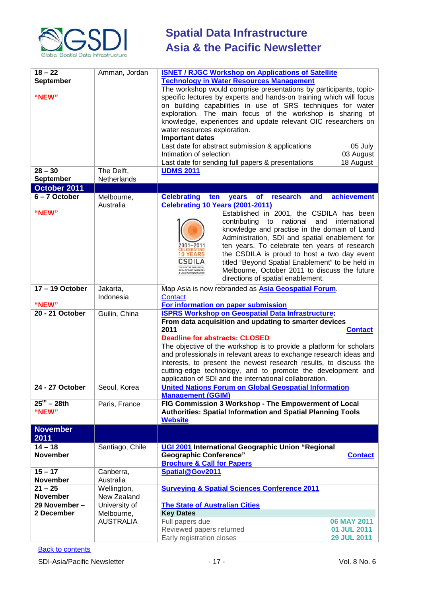

| $18 - 22$                | Amman, Jordan    | <b>ISNET / RJGC Workshop on Applications of Satellite</b>                                      |
|--------------------------|------------------|------------------------------------------------------------------------------------------------|
| <b>September</b>         |                  | <b>Technology in Water Resources Management</b>                                                |
|                          |                  | The workshop would comprise presentations by participants, topic-                              |
| "NEW"                    |                  | specific lectures by experts and hands-on training which will focus                            |
|                          |                  | on building capabilities in use of SRS techniques for water                                    |
|                          |                  | exploration. The main focus of the workshop is sharing of                                      |
|                          |                  | knowledge, experiences and update relevant OIC researchers on                                  |
|                          |                  | water resources exploration.                                                                   |
|                          |                  | <b>Important dates</b>                                                                         |
|                          |                  | Last date for abstract submission & applications<br>05 July                                    |
|                          |                  | Intimation of selection                                                                        |
|                          |                  | 03 August                                                                                      |
|                          |                  | Last date for sending full papers & presentations<br>18 August                                 |
| $28 - 30$                | The Delft,       | <b>UDMS 2011</b>                                                                               |
| <b>September</b>         | Netherlands      |                                                                                                |
| October 2011             |                  |                                                                                                |
| 6-7 October              | Melbourne,       | achievement<br><b>Celebrating</b><br><b>of</b><br>research<br>and<br>ten<br>years              |
|                          | Australia        | <b>Celebrating 10 Years (2001-2011)</b>                                                        |
| "NEW"                    |                  | Established in 2001, the CSDILA has been                                                       |
|                          |                  | national<br>contributing<br>and<br>international<br>to                                         |
|                          |                  | knowledge and practise in the domain of Land                                                   |
|                          |                  | Administration, SDI and spatial enablement for                                                 |
|                          |                  | 2001–2011<br>ten years. To celebrate ten years of research                                     |
|                          |                  | 10 YEARS<br>the CSDILA is proud to host a two day event                                        |
|                          |                  | CSDILA<br>titled "Beyond Spatial Enablement" to be held in                                     |
|                          |                  | Melbourne, October 2011 to discuss the future<br>DATA INFRASTRUCTURES<br>& LAND ADMINISTRATION |
|                          |                  | directions of spatial enablement.                                                              |
| 17-19 October            | Jakarta,         | Map Asia is now rebranded as <b>Asia Geospatial Forum</b> .                                    |
|                          | Indonesia        | Contact                                                                                        |
| "NEW"                    |                  | For information on paper submission                                                            |
| 20 - 21 October          | Guilin, China    | <b>ISPRS Workshop on Geospatial Data Infrastructure:</b>                                       |
|                          |                  | From data acquisition and updating to smarter devices                                          |
|                          |                  | 2011<br><b>Contact</b>                                                                         |
|                          |                  | <b>Deadline for abstracts: CLOSED</b>                                                          |
|                          |                  | The objective of the workshop is to provide a platform for scholars                            |
|                          |                  | and professionals in relevant areas to exchange research ideas and                             |
|                          |                  | interests, to present the newest research results, to discuss the                              |
|                          |                  |                                                                                                |
|                          |                  | cutting-edge technology, and to promote the development and                                    |
|                          |                  | application of SDI and the international collaboration.                                        |
| 24 - 27 October          | Seoul, Korea     | <b>United Nations Forum on Global Geospatial Information</b><br><b>Management (GGIM)</b>       |
| $25^{\text{th}} - 28$ th |                  | FIG Commission 3 Workshop - The Empowerment of Local                                           |
| "NEW"                    | Paris, France    | <b>Authorities: Spatial Information and Spatial Planning Tools</b>                             |
|                          |                  | <b>Website</b>                                                                                 |
|                          |                  |                                                                                                |
| <b>November</b>          |                  |                                                                                                |
| 2011                     |                  |                                                                                                |
| $14 - 18$                | Santiago, Chile  | UGI 2001 International Geographic Union "Regional                                              |
| <b>November</b>          |                  | <b>Geographic Conference"</b><br><b>Contact</b>                                                |
|                          |                  | <b>Brochure &amp; Call for Papers</b>                                                          |
| $15 - 17$                | Canberra,        | Spatial@Gov2011                                                                                |
| <b>November</b>          | Australia        |                                                                                                |
| $21 - 25$                | Wellington,      | <b>Surveying &amp; Spatial Sciences Conference 2011</b>                                        |
| <b>November</b>          | New Zealand      |                                                                                                |
| 29 November -            | University of    | <b>The State of Australian Cities</b>                                                          |
| 2 December               | Melbourne,       | <b>Key Dates</b>                                                                               |
|                          | <b>AUSTRALIA</b> | 06 MAY 2011<br>Full papers due                                                                 |
|                          |                  | Reviewed papers returned<br>01 JUL 2011                                                        |
|                          |                  | Early registration closes<br><b>29 JUL 2011</b>                                                |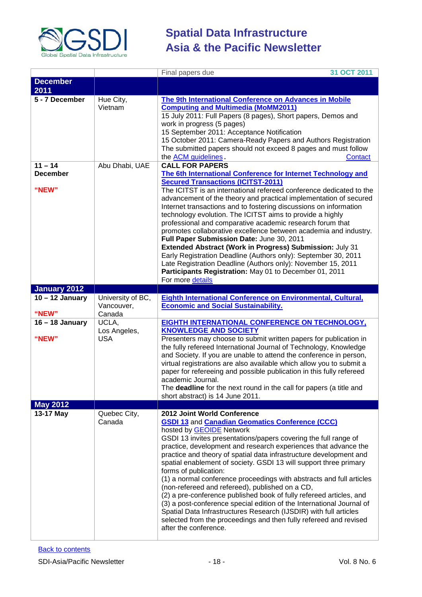

|                                       |                                           | 31 OCT 2011<br>Final papers due                                                                                                                                                                                                                                                                                                                                                                                                                                                                                                                                                                                                                                                                                                                                                                                                                                                  |
|---------------------------------------|-------------------------------------------|----------------------------------------------------------------------------------------------------------------------------------------------------------------------------------------------------------------------------------------------------------------------------------------------------------------------------------------------------------------------------------------------------------------------------------------------------------------------------------------------------------------------------------------------------------------------------------------------------------------------------------------------------------------------------------------------------------------------------------------------------------------------------------------------------------------------------------------------------------------------------------|
| <b>December</b><br>2011               |                                           |                                                                                                                                                                                                                                                                                                                                                                                                                                                                                                                                                                                                                                                                                                                                                                                                                                                                                  |
| 5 - 7 December                        | Hue City,<br>Vietnam                      | The 9th International Conference on Advances in Mobile<br><b>Computing and Multimedia (MoMM2011)</b><br>15 July 2011: Full Papers (8 pages), Short papers, Demos and<br>work in progress (5 pages)<br>15 September 2011: Acceptance Notification<br>15 October 2011: Camera-Ready Papers and Authors Registration<br>The submitted papers should not exceed 8 pages and must follow<br>the <b>ACM</b> guidelines.<br><b>Contact</b>                                                                                                                                                                                                                                                                                                                                                                                                                                              |
| $11 - 14$<br><b>December</b><br>"NEW" | Abu Dhabi, UAE                            | <b>CALL FOR PAPERS</b><br>The 6th International Conference for Internet Technology and<br><b>Secured Transactions (ICITST-2011)</b><br>The ICITST is an international refereed conference dedicated to the<br>advancement of the theory and practical implementation of secured<br>Internet transactions and to fostering discussions on information<br>technology evolution. The ICITST aims to provide a highly<br>professional and comparative academic research forum that<br>promotes collaborative excellence between academia and industry.<br>Full Paper Submission Date: June 30, 2011<br>Extended Abstract (Work in Progress) Submission: July 31<br>Early Registration Deadline (Authors only): September 30, 2011<br>Late Registration Deadline (Authors only): November 15, 2011<br>Participants Registration: May 01 to December 01, 2011<br>For more details      |
| January 2012                          |                                           |                                                                                                                                                                                                                                                                                                                                                                                                                                                                                                                                                                                                                                                                                                                                                                                                                                                                                  |
| $10 - 12$ January<br>"NEW"            | University of BC,<br>Vancouver,<br>Canada | Eighth International Conference on Environmental, Cultural,<br><b>Economic and Social Sustainability.</b>                                                                                                                                                                                                                                                                                                                                                                                                                                                                                                                                                                                                                                                                                                                                                                        |
| $16 - 18$ January<br>"NEW"            | UCLA,<br>Los Angeles,<br><b>USA</b>       | EIGHTH INTERNATIONAL CONFERENCE ON TECHNOLOGY,<br><b>KNOWLEDGE AND SOCIETY</b><br>Presenters may choose to submit written papers for publication in<br>the fully refereed International Journal of Technology, Knowledge<br>and Society. If you are unable to attend the conference in person,<br>virtual registrations are also available which allow you to submit a<br>paper for refereeing and possible publication in this fully refereed<br>academic Journal.<br>The deadline for the next round in the call for papers (a title and<br>short abstract) is 14 June 2011.                                                                                                                                                                                                                                                                                                   |
| <b>May 2012</b>                       |                                           |                                                                                                                                                                                                                                                                                                                                                                                                                                                                                                                                                                                                                                                                                                                                                                                                                                                                                  |
| 13-17 May                             | Quebec City,<br>Canada                    | 2012 Joint World Conference<br><b>GSDI 13 and Canadian Geomatics Conference (CCC)</b><br>hosted by <b>GEOIDE</b> Network<br>GSDI 13 invites presentations/papers covering the full range of<br>practice, development and research experiences that advance the<br>practice and theory of spatial data infrastructure development and<br>spatial enablement of society. GSDI 13 will support three primary<br>forms of publication:<br>(1) a normal conference proceedings with abstracts and full articles<br>(non-refereed and refereed), published on a CD,<br>(2) a pre-conference published book of fully refereed articles, and<br>(3) a post-conference special edition of the International Journal of<br>Spatial Data Infrastructures Research (IJSDIR) with full articles<br>selected from the proceedings and then fully refereed and revised<br>after the conference. |